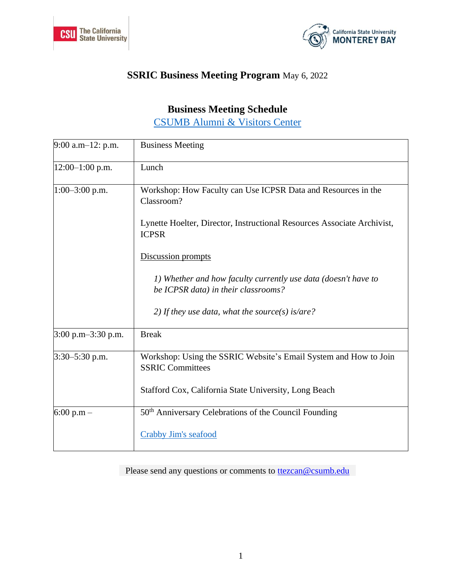



## **SSRIC Business Meeting Program** May 6, 2022

## **Business Meeting Schedule**

[CSUMB Alumni & Visitors Center](https://goo.gl/maps/kPkvbjg66haMoMNx8)

| $9:00$ a.m-12: p.m.  | <b>Business Meeting</b>                                                                               |
|----------------------|-------------------------------------------------------------------------------------------------------|
| $12:00-1:00$ p.m.    | Lunch                                                                                                 |
| $1:00-3:00$ p.m.     | Workshop: How Faculty can Use ICPSR Data and Resources in the<br>Classroom?                           |
|                      | Lynette Hoelter, Director, Instructional Resources Associate Archivist,<br><b>ICPSR</b>               |
|                      | Discussion prompts                                                                                    |
|                      | 1) Whether and how faculty currently use data (doesn't have to<br>be ICPSR data) in their classrooms? |
|                      | 2) If they use data, what the source(s) is/are?                                                       |
| $3:00$ p.m-3:30 p.m. | <b>Break</b>                                                                                          |
| $3:30-5:30$ p.m.     | Workshop: Using the SSRIC Website's Email System and How to Join<br><b>SSRIC Committees</b>           |
|                      | Stafford Cox, California State University, Long Beach                                                 |
| $6:00 p.m -$         | 50 <sup>th</sup> Anniversary Celebrations of the Council Founding                                     |
|                      | Crabby Jim's seafood                                                                                  |

Please send any questions or comments to **the deal of the sense of the sense of the sense of the sense of the sense of the sense of the sense of the sense of the sense of the sense of the sense of the sense of the sense of**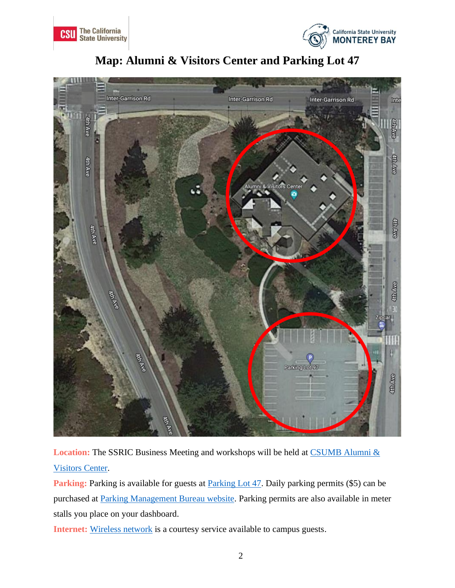







Location: The SSRIC Business Meeting and workshops will be held at CSUMB Alumni & [Visitors Center.](https://goo.gl/maps/kPkvbjg66haMoMNx8)

**Parking:** Parking is available for guests at **Parking Lot 47**. Daily parking permits (\$5) can be purchased at [Parking Management Bureau website.](https://pmb.csustan.edu/dailypermits) Parking permits are also available in meter stalls you place on your dashboard.

**Internet:** [Wireless network](https://csumb.teamdynamix.com/TDClient/1846/Portal/KB/ArticleDet?ID=117388) is a courtesy service available to campus guests.